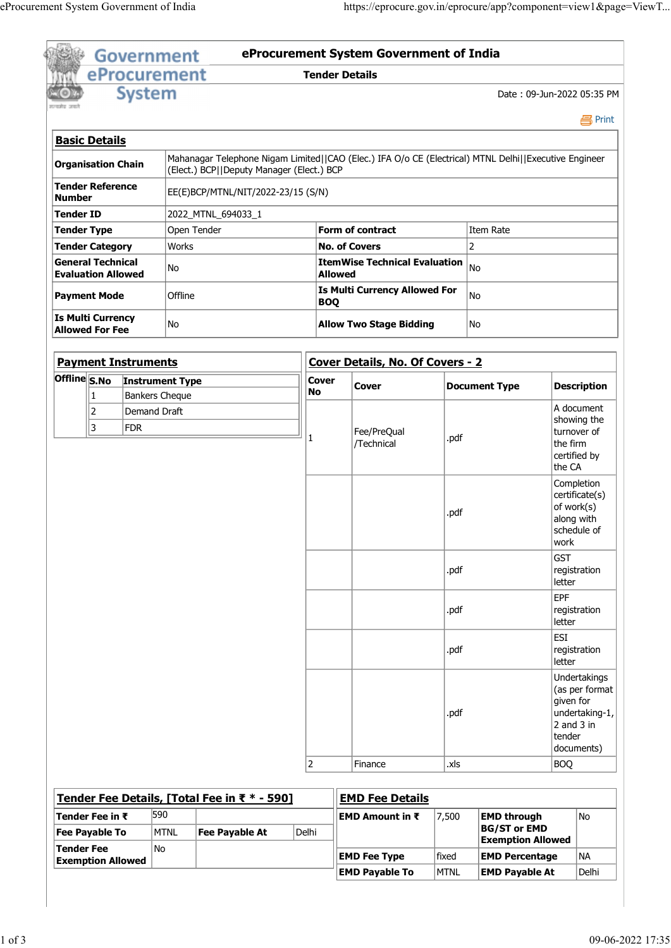|                                               | eProcurement System Government of India               |                       |                                              |                    |                                                                                                       |       |                                                                 |                                             |       |
|-----------------------------------------------|-------------------------------------------------------|-----------------------|----------------------------------------------|--------------------|-------------------------------------------------------------------------------------------------------|-------|-----------------------------------------------------------------|---------------------------------------------|-------|
|                                               |                                                       |                       |                                              |                    |                                                                                                       |       |                                                                 |                                             |       |
|                                               |                                                       |                       |                                              |                    |                                                                                                       |       |                                                                 |                                             |       |
|                                               |                                                       |                       |                                              |                    |                                                                                                       |       |                                                                 |                                             |       |
|                                               |                                                       |                       |                                              |                    |                                                                                                       |       |                                                                 |                                             |       |
|                                               |                                                       |                       |                                              |                    |                                                                                                       |       | https://eprocure.gov.in/eprocure/app?component=view1&page=ViewT |                                             |       |
|                                               |                                                       |                       |                                              |                    |                                                                                                       |       |                                                                 |                                             |       |
|                                               |                                                       | <b>Government</b>     |                                              |                    | eProcurement System Government of India                                                               |       |                                                                 |                                             |       |
|                                               | eProcurement                                          |                       |                                              |                    | <b>Tender Details</b>                                                                                 |       |                                                                 |                                             |       |
|                                               |                                                       | <b>System</b>         |                                              |                    |                                                                                                       |       | Date: 09-Jun-2022 05:35 PM                                      |                                             |       |
| सन्यमेव जयले                                  |                                                       |                       |                                              |                    |                                                                                                       |       |                                                                 | <b>马Print</b>                               |       |
|                                               | <b>Basic Details</b>                                  |                       |                                              |                    |                                                                                                       |       |                                                                 |                                             |       |
|                                               | Organisation Chain                                    |                       | (Elect.) BCP  Deputy Manager (Elect.) BCP    |                    | Mahanagar Telephone Nigam Limited  CAO (Elec.) IFA O/o CE (Electrical) MTNL Delhi  Executive Engineer |       |                                                                 |                                             |       |
|                                               | Tender Reference                                      |                       | EE(E)BCP/MTNL/NIT/2022-23/15 (S/N)           |                    |                                                                                                       |       |                                                                 |                                             |       |
| Number<br>Tender ID                           |                                                       |                       | 2022_MTNL_694033_1                           |                    |                                                                                                       |       |                                                                 |                                             |       |
|                                               | Tender Type                                           |                       | Open Tender                                  |                    | Form of contract                                                                                      |       | Item Rate                                                       |                                             |       |
|                                               | Tender Category                                       | Works<br>No           |                                              |                    | <b>No. of Covers</b>                                                                                  |       | 2                                                               |                                             |       |
|                                               | <b>General Technical</b><br><b>Evaluation Allowed</b> |                       |                                              |                    | <b>ItemWise Technical Evaluation</b> $ _{No}$<br><b>Allowed</b>                                       |       |                                                                 |                                             |       |
|                                               | <b>Payment Mode</b>                                   | Offline               |                                              | <b>BOQ</b>         | <b>Is Multi Currency Allowed For</b>                                                                  |       | No                                                              |                                             |       |
|                                               | Is Multi Currency                                     | No                    |                                              |                    | <b>Allow Two Stage Bidding</b>                                                                        |       | No                                                              |                                             |       |
|                                               | <b>Allowed For Fee</b>                                |                       |                                              |                    |                                                                                                       |       |                                                                 |                                             |       |
|                                               | <b>Payment Instruments</b>                            |                       |                                              |                    | Cover Details, No. Of Covers - 2                                                                      |       |                                                                 |                                             |       |
|                                               | Offline S.No Instrument Type<br> 1                    | <b>Bankers Cheque</b> |                                              | <b>Cover</b><br>No | Cover                                                                                                 |       | <b>Document Type</b>                                            | <b>Description</b>                          |       |
|                                               | 2                                                     | Demand Draft          |                                              |                    |                                                                                                       |       |                                                                 | A document<br>showing the                   |       |
|                                               | 3<br>FDR                                              |                       |                                              |                    | Fee/PreQual<br>/Technical                                                                             | .pdf  |                                                                 | turnover of<br>the firm                     |       |
|                                               |                                                       |                       |                                              |                    |                                                                                                       |       |                                                                 | certified by                                |       |
|                                               |                                                       |                       |                                              |                    |                                                                                                       |       |                                                                 | the CA<br>Completion                        |       |
|                                               |                                                       |                       |                                              |                    |                                                                                                       |       |                                                                 | certificate(s)<br>of work(s)                |       |
|                                               |                                                       |                       |                                              |                    |                                                                                                       | .pdf  |                                                                 | along with<br>schedule of                   |       |
|                                               |                                                       |                       |                                              |                    |                                                                                                       |       |                                                                 | work                                        |       |
|                                               |                                                       |                       |                                              |                    |                                                                                                       | .pdf  |                                                                 | <b>GST</b><br>registration                  |       |
|                                               |                                                       |                       |                                              |                    |                                                                                                       |       |                                                                 | letter                                      |       |
|                                               |                                                       |                       |                                              |                    |                                                                                                       | .pdf  |                                                                 | <b>EPF</b><br>registration                  |       |
|                                               |                                                       |                       |                                              |                    |                                                                                                       |       | <b>ESI</b>                                                      | letter                                      |       |
|                                               |                                                       |                       |                                              |                    |                                                                                                       | .pdf  |                                                                 | registration<br>letter                      |       |
|                                               |                                                       |                       |                                              |                    |                                                                                                       |       |                                                                 | Undertakings                                |       |
|                                               |                                                       |                       |                                              |                    |                                                                                                       |       |                                                                 | $\vert$ (as per format $\vert$<br>given for |       |
|                                               |                                                       |                       |                                              |                    |                                                                                                       | .pdf  |                                                                 | undertaking-1,<br>$2$ and 3 in              |       |
|                                               |                                                       |                       |                                              |                    |                                                                                                       |       |                                                                 | tender<br>documents)                        |       |
|                                               |                                                       |                       |                                              | 2                  | Finance                                                                                               | .xls  |                                                                 | BOQ                                         |       |
|                                               |                                                       |                       | Tender Fee Details, [Total Fee in ₹ * - 590] |                    | <b>EMD Fee Details</b>                                                                                |       |                                                                 |                                             |       |
|                                               | Tender Fee in ₹                                       | 590                   |                                              |                    | EMD Amount in ₹                                                                                       | 7,500 | <b>EMD through</b>                                              | No                                          |       |
|                                               | <b>Fee Payable To</b>                                 | MTNL                  | Fee Payable At                               | Delhi              |                                                                                                       |       | <b>BG/ST or EMD</b><br><b>Exemption Allowed</b>                 |                                             |       |
|                                               |                                                       | No                    |                                              |                    | <b>EMD Fee Type</b>                                                                                   | fixed | <b>EMD Percentage</b>                                           | NA                                          |       |
| <b>Tender Fee</b><br><b>Exemption Allowed</b> |                                                       |                       |                                              |                    | <b>EMD Payable To</b>                                                                                 |       |                                                                 |                                             | Delhi |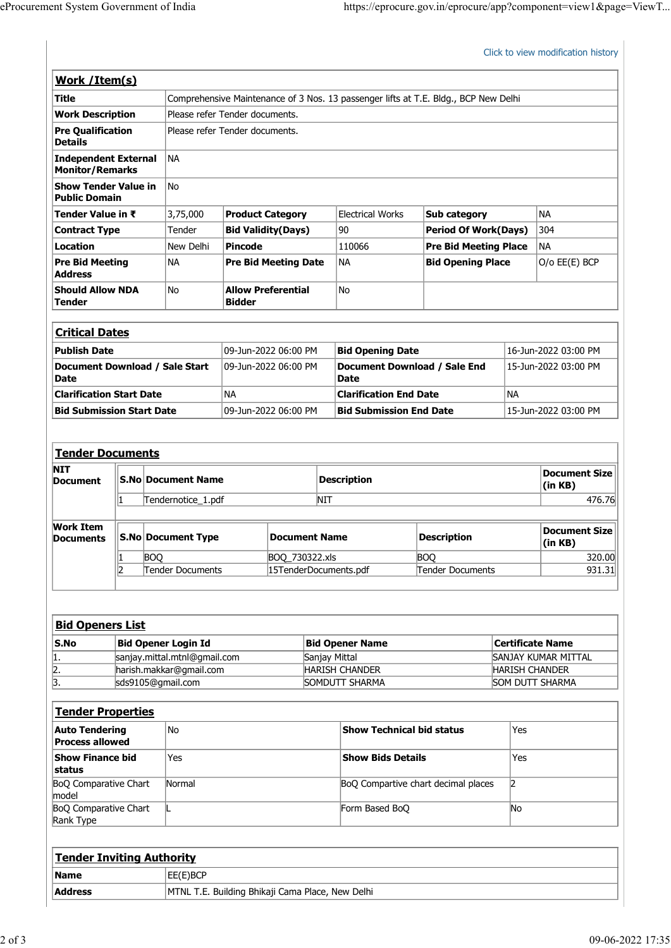| eProcurement System Government of India                     |                                                                                     |                                |                                                                 |                      |                                    |  |
|-------------------------------------------------------------|-------------------------------------------------------------------------------------|--------------------------------|-----------------------------------------------------------------|----------------------|------------------------------------|--|
|                                                             |                                                                                     |                                | https://eprocure.gov.in/eprocure/app?component=view1&page=ViewT |                      |                                    |  |
|                                                             |                                                                                     |                                |                                                                 |                      |                                    |  |
|                                                             |                                                                                     |                                |                                                                 |                      |                                    |  |
|                                                             |                                                                                     |                                |                                                                 |                      | Click to view modification history |  |
| Work / Item(s)                                              |                                                                                     |                                |                                                                 |                      |                                    |  |
| <b>Title</b>                                                | Comprehensive Maintenance of 3 Nos. 13 passenger lifts at T.E. Bldg., BCP New Delhi |                                |                                                                 |                      |                                    |  |
| <b>Work Description</b>                                     | Please refer Tender documents.                                                      |                                |                                                                 |                      |                                    |  |
| <b>Pre Qualification</b><br><b>Details</b>                  | Please refer Tender documents.                                                      |                                |                                                                 |                      |                                    |  |
| NA<br><b>Independent External</b><br><b>Monitor/Remarks</b> |                                                                                     |                                |                                                                 |                      |                                    |  |
| <b>Show Tender Value in</b><br>No<br><b>Public Domain</b>   |                                                                                     |                                |                                                                 |                      |                                    |  |
| 3,75,000<br>Tender Value in ₹                               | <b>Product Category</b>                                                             | Electrical Works               | Sub category                                                    |                      | NA                                 |  |
| <b>Contract Type</b><br>Tender                              | <b>Bid Validity(Days)</b>                                                           | 90                             | <b>Period Of Work(Days)</b>                                     |                      | 304                                |  |
| <b>Location</b><br>New Delhi                                | <b>Pincode</b>                                                                      | 110066                         | <b>Pre Bid Meeting Place</b>                                    |                      | NA                                 |  |
| <b>Pre Bid Meeting</b><br><b>NA</b><br><b>Address</b>       | <b>Pre Bid Meeting Date</b>                                                         | <b>NA</b>                      | <b>Bid Opening Place</b>                                        |                      | $O/O$ $EE(E)$ $BCP$                |  |
| <b>Should Allow NDA</b><br>No<br><b>Tender</b>              | <b>Allow Preferential</b><br><b>Bidder</b>                                          | No                             |                                                                 |                      |                                    |  |
|                                                             |                                                                                     |                                |                                                                 |                      |                                    |  |
| <b>Critical Dates</b>                                       |                                                                                     |                                |                                                                 |                      |                                    |  |
| <b>Publish Date</b>                                         | 09-Jun-2022 06:00 PM                                                                | <b>Bid Opening Date</b>        |                                                                 | 16-Jun-2022 03:00 PM |                                    |  |
| Document Download / Sale Start<br>Date                      | 09-Jun-2022 06:00 PM                                                                | <b>Date</b>                    | Document Download / Sale End                                    |                      | 15-Jun-2022 03:00 PM               |  |
| <b>Clarification Start Date</b>                             | NA                                                                                  |                                | <b>Clarification End Date</b>                                   |                      | NA                                 |  |
| <b>Bid Submission Start Date</b>                            | 09-Jun-2022 06:00 PM                                                                | <b>Bid Submission End Date</b> |                                                                 | 15-Jun-2022 03:00 PM |                                    |  |
|                                                             |                                                                                     |                                |                                                                 |                      |                                    |  |
|                                                             |                                                                                     |                                |                                                                 |                      |                                    |  |
|                                                             |                                                                                     |                                | <b>Document Size</b>                                            |                      |                                    |  |
| <b>Tender Documents</b>                                     |                                                                                     |                                |                                                                 |                      |                                    |  |
| <b>S.No Document Name</b>                                   |                                                                                     | <b>Description</b>             |                                                                 |                      | (in KB)                            |  |
| <b>NIT</b><br><b>Document</b><br>Tendernotice_1.pdf         |                                                                                     | <b>NIT</b>                     |                                                                 |                      | 476.76                             |  |

| <b>Critical Dates</b>                         |                      |                                      |                      |
|-----------------------------------------------|----------------------|--------------------------------------|----------------------|
| <b>Publish Date</b>                           | 09-Jun-2022 06:00 PM | <b>Bid Opening Date</b>              | 16-Jun-2022 03:00 PM |
| Document Download / Sale Start<br><b>Date</b> | 09-Jun-2022 06:00 PM | Document Download / Sale End<br>Date | 15-Jun-2022 03:00 PM |
| <b>Clarification Start Date</b>               | 'NA                  | <b>Clarification End Date</b>        | NA                   |
| Bid Submission Start Date                     | 09-Jun-2022 06:00 PM | <b>Bid Submission End Date</b>       | 15-Jun-2022 03:00 PM |

| Public Domain                                   |  |                                                 |                      |                                |                                         |                                  |                      |                                                 |  |
|-------------------------------------------------|--|-------------------------------------------------|----------------------|--------------------------------|-----------------------------------------|----------------------------------|----------------------|-------------------------------------------------|--|
| Tender Value in ₹                               |  | 3,75,000                                        |                      | <b>Product Category</b>        | Electrical Works                        | Sub category                     |                      | NA                                              |  |
| <b>Contract Type</b>                            |  | Tender                                          |                      | <b>Bid Validity (Days)</b>     | 90                                      | <b>Period Of Work(Days)</b>      |                      | 304                                             |  |
| <b>Location</b>                                 |  | New Delhi                                       | <b>Pincode</b>       |                                | 110066                                  | <b>Pre Bid Meeting Place</b>     |                      | <b>NA</b>                                       |  |
| <b>Pre Bid Meeting</b><br><b>Address</b>        |  | NA                                              |                      | <b>Pre Bid Meeting Date</b>    | NA)                                     | <b>Bid Opening Place</b>         |                      | O/o EE(E) BCP                                   |  |
| <b>Should Allow NDA</b><br><b>Tender</b>        |  | No                                              | <b>Bidder</b>        | <b>Allow Preferential</b>      | No                                      |                                  |                      |                                                 |  |
| <b>Critical Dates</b>                           |  |                                                 |                      |                                |                                         |                                  |                      |                                                 |  |
| <b>Publish Date</b>                             |  |                                                 |                      | 09-Jun-2022 06:00 PM           | <b>Bid Opening Date</b>                 |                                  |                      | 16-Jun-2022 03:00 PM                            |  |
| <b>Date</b>                                     |  | Document Download / Sale Start                  |                      | 09-Jun-2022 06:00 PM           | <b>Date</b>                             | Document Download / Sale End     |                      | 15-Jun-2022 03:00 PM                            |  |
| <b>Clarification Start Date</b>                 |  |                                                 | <b>NA</b>            |                                | <b>Clarification End Date</b>           |                                  | <b>NA</b>            |                                                 |  |
| <b>Bid Submission Start Date</b>                |  |                                                 | 09-Jun-2022 06:00 PM | <b>Bid Submission End Date</b> |                                         |                                  | 15-Jun-2022 03:00 PM |                                                 |  |
| <b>Document</b>                                 |  | <b>S.No Document Name</b><br>Tendernotice_1.pdf |                      |                                | <b>Description</b><br><b>NIT</b>        |                                  |                      | <b>Document Size</b><br>(in KB)<br>476.76       |  |
| <b>Work Item</b><br><b>Documents</b>            |  | <b>S.No Document Type</b>                       |                      | <b>Document Name</b>           |                                         | <b>Description</b>               |                      | <b>Document Size</b><br>(in KB)                 |  |
|                                                 |  | <b>BOQ</b>                                      |                      | BOQ_730322.xls                 |                                         | <b>BOQ</b>                       |                      | 320.00                                          |  |
|                                                 |  | Tender Documents                                |                      | 15TenderDocuments.pdf          | Tender Documents                        |                                  |                      | 931.31                                          |  |
|                                                 |  |                                                 |                      |                                |                                         |                                  |                      |                                                 |  |
| <b>Bid Openers List</b>                         |  |                                                 |                      |                                |                                         |                                  |                      |                                                 |  |
| S.No                                            |  | <b>Bid Opener Login Id</b>                      |                      |                                | <b>Bid Opener Name</b>                  |                                  |                      | <b>Certificate Name</b>                         |  |
|                                                 |  | sanjay.mittal.mtnl@gmail.com                    |                      |                                | Sanjay Mittal                           |                                  |                      | SANJAY KUMAR MITTAL                             |  |
| $\frac{2}{3}$ .                                 |  | harish.makkar@gmail.com<br>sds9105@gmail.com    |                      |                                | <b>HARISH CHANDER</b><br>SOMDUTT SHARMA |                                  |                      | <b>HARISH CHANDER</b><br><b>SOM DUTT SHARMA</b> |  |
|                                                 |  |                                                 |                      |                                |                                         |                                  |                      |                                                 |  |
| <b>Tender Properties</b>                        |  |                                                 |                      |                                |                                         |                                  |                      |                                                 |  |
| <b>Auto Tendering</b><br><b>Process allowed</b> |  | No                                              |                      |                                |                                         | <b>Show Technical bid status</b> | Yes                  |                                                 |  |

|      | <b>Bid Openers List</b>      |                        |                            |
|------|------------------------------|------------------------|----------------------------|
| S.No | Bid Opener Login Id          | <b>Bid Opener Name</b> | Certificate Name           |
| ш.   | sanjay.mittal.mtnl@gmail.com | Sanjay Mittal          | <b>SANJAY KUMAR MITTAL</b> |
| 2.   | harish.makkar@gmail.com      | <b>HARISH CHANDER</b>  | <b>HARISH CHANDER</b>      |
| 3.   | sds9105@gmail.com            | SOMDUTT SHARMA         | <b>SOM DUTT SHARMA</b>     |

| Document                                        |                            |                              |                                                  | -----------               |                                     |                       | (in KB)             |
|-------------------------------------------------|----------------------------|------------------------------|--------------------------------------------------|---------------------------|-------------------------------------|-----------------------|---------------------|
|                                                 |                            | Tendernotice_1.pdf           | <b>NIT</b>                                       |                           |                                     |                       | 476.76              |
|                                                 |                            |                              |                                                  |                           |                                     |                       |                     |
| <b>Work Item</b><br><b>Documents</b>            |                            | S.No Document Type           |                                                  | <b>Document Name</b>      |                                     | <b>Description</b>    |                     |
|                                                 |                            | <b>BOQ</b>                   | BOQ_730322.xls                                   |                           | <b>BOQ</b>                          |                       | 320.00              |
|                                                 | 2                          | Tender Documents             | 15TenderDocuments.pdf                            |                           | Tender Documents                    |                       | 931.31              |
|                                                 |                            |                              |                                                  |                           |                                     |                       |                     |
| <b>Bid Openers List</b>                         |                            |                              |                                                  |                           |                                     |                       |                     |
| $\mathsf{S}.\mathsf{No}$                        | <b>Bid Opener Login Id</b> |                              | <b>Bid Opener Name</b>                           |                           | <b>Certificate Name</b>             |                       |                     |
| 1.                                              |                            | sanjay.mittal.mtnl@gmail.com | Sanjay Mittal                                    |                           |                                     |                       | SANJAY KUMAR MITTAL |
| $\overline{2}$ .                                |                            | harish.makkar@gmail.com      |                                                  | <b>HARISH CHANDER</b>     |                                     | <b>HARISH CHANDER</b> |                     |
| 3.                                              |                            | sds9105@gmail.com            |                                                  | SOMDUTT SHARMA            |                                     |                       | SOM DUTT SHARMA     |
|                                                 |                            |                              |                                                  |                           |                                     |                       |                     |
| <b>Tender Properties</b>                        |                            |                              |                                                  |                           |                                     |                       |                     |
| <b>Auto Tendering</b><br><b>Process allowed</b> |                            | No                           |                                                  | Show Technical bid status |                                     | Yes                   |                     |
| Show Finance bid<br>status                      |                            | Yes                          |                                                  | <b>Show Bids Details</b>  |                                     | Yes                   |                     |
| <b>BoQ Comparative Chart</b><br>model           |                            | Normal                       |                                                  |                           | BoQ Compartive chart decimal places | $\vert$ 2             |                     |
| <b>BoQ Comparative Chart</b><br>Rank Type       |                            |                              |                                                  | Form Based BoQ            |                                     | No                    |                     |
|                                                 |                            |                              |                                                  |                           |                                     |                       |                     |
| <b>Tender Inviting Authority</b>                |                            |                              |                                                  |                           |                                     |                       |                     |
| Name                                            |                            | EE(E)BCP                     |                                                  |                           |                                     |                       |                     |
| <b>Address</b>                                  |                            |                              | MTNL T.E. Building Bhikaji Cama Place, New Delhi |                           |                                     |                       |                     |

| <b>Tender Inviting Authority</b> |                                                  |
|----------------------------------|--------------------------------------------------|
| <b>Name</b>                      | EE(E)BCP                                         |
| <b>Address</b>                   | MTNL T.E. Building Bhikaji Cama Place, New Delhi |